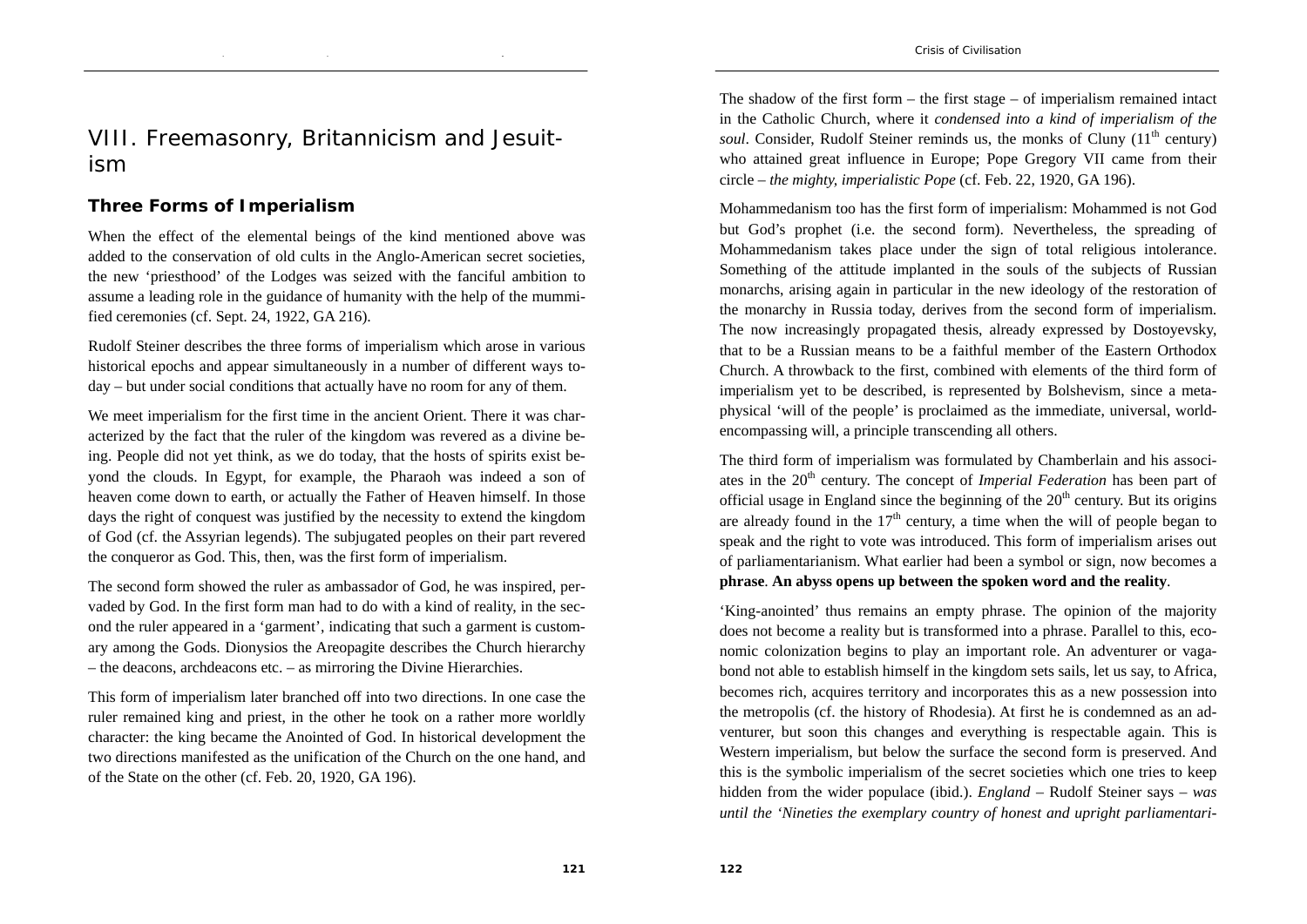# VIII. Freemasonry, Britannicism and Jesuitism

### **Three Forms of Imperialism**

When the effect of the elemental beings of the kind mentioned above was added to the conservation of old cults in the Anglo-American secret societies, the new 'priesthood' of the Lodges was seized with the fanciful ambition to assume a leading role in the guidance of humanity with the help of the mummified ceremonies (cf. Sept. 24, 1922, GA 216).

Rudolf Steiner describes the three forms of imperialism which arose in various historical epochs and appear simultaneously in a number of different ways today – but under social conditions that actually have no room for any of them.

We meet imperialism for the first time in the ancient Orient. There it was characterized by the fact that the ruler of the kingdom was revered as a divine being. People did not yet think, as we do today, that the hosts of spirits exist beyond the clouds. In Egypt, for example, the Pharaoh was indeed a son of heaven come down to earth, or actually the Father of Heaven himself. In those days the right of conquest was justified by the necessity to extend the kingdom of God (cf. the Assyrian legends). The subjugated peoples on their part revered the conqueror as God. This, then, was the first form of imperialism.

The second form showed the ruler as ambassador of God, he was inspired, pervaded by God. In the first form man had to do with a kind of reality, in the second the ruler appeared in a 'garment', indicating that such a garment is customary among the Gods. Dionysios the Areopagite describes the Church hierarchy – the deacons, archdeacons etc. – as mirroring the Divine Hierarchies.

This form of imperialism later branched off into two directions. In one case the ruler remained king and priest, in the other he took on a rather more worldly character: the king became the Anointed of God. In historical development the two directions manifested as the unification of the Church on the one hand, and of the State on the other (cf. Feb. 20, 1920, GA 196).

The shadow of the first form – the first stage – of imperialism remained intact in the Catholic Church, where it *condensed into a kind of imperialism of the soul.* Consider, Rudolf Steiner reminds us, the monks of Cluny  $(11<sup>th</sup>$  century) who attained great influence in Europe; Pope Gregory VII came from their circle – *the mighty, imperialistic Pope* (cf. Feb. 22, 1920, GA 196).

Mohammedanism too has the first form of imperialism: Mohammed is not God but God's prophet (i.e. the second form). Nevertheless, the spreading of Mohammedanism takes place under the sign of total religious intolerance. Something of the attitude implanted in the souls of the subjects of Russian monarchs, arising again in particular in the new ideology of the restoration of the monarchy in Russia today, derives from the second form of imperialism. The now increasingly propagated thesis, already expressed by Dostoyevsky, that to be a Russian means to be a faithful member of the Eastern Orthodox Church. A throwback to the first, combined with elements of the third form of imperialism yet to be described, is represented by Bolshevism, since a metaphysical 'will of the people' is proclaimed as the immediate, universal, worldencompassing will, a principle transcending all others.

The third form of imperialism was formulated by Chamberlain and his associates in the 20<sup>th</sup> century. The concept of *Imperial Federation* has been part of official usage in England since the beginning of the  $20<sup>th</sup>$  century. But its origins are already found in the  $17<sup>th</sup>$  century, a time when the will of people began to speak and the right to vote was introduced. This form of imperialism arises out of parliamentarianism. What earlier had been a symbol or sign, now becomes a **phrase**. **An abyss opens up between the spoken word and the reality**.

'King-anointed' thus remains an empty phrase. The opinion of the majority does not become a reality but is transformed into a phrase. Parallel to this, economic colonization begins to play an important role. An adventurer or vagabond not able to establish himself in the kingdom sets sails, let us say, to Africa, becomes rich, acquires territory and incorporates this as a new possession into the metropolis (cf. the history of Rhodesia). At first he is condemned as an adventurer, but soon this changes and everything is respectable again. This is Western imperialism, but below the surface the second form is preserved. And this is the symbolic imperialism of the secret societies which one tries to keep hidden from the wider populace (ibid.). *England* – Rudolf Steiner says – *was until the 'Nineties the exemplary country of honest and upright parliamentari-*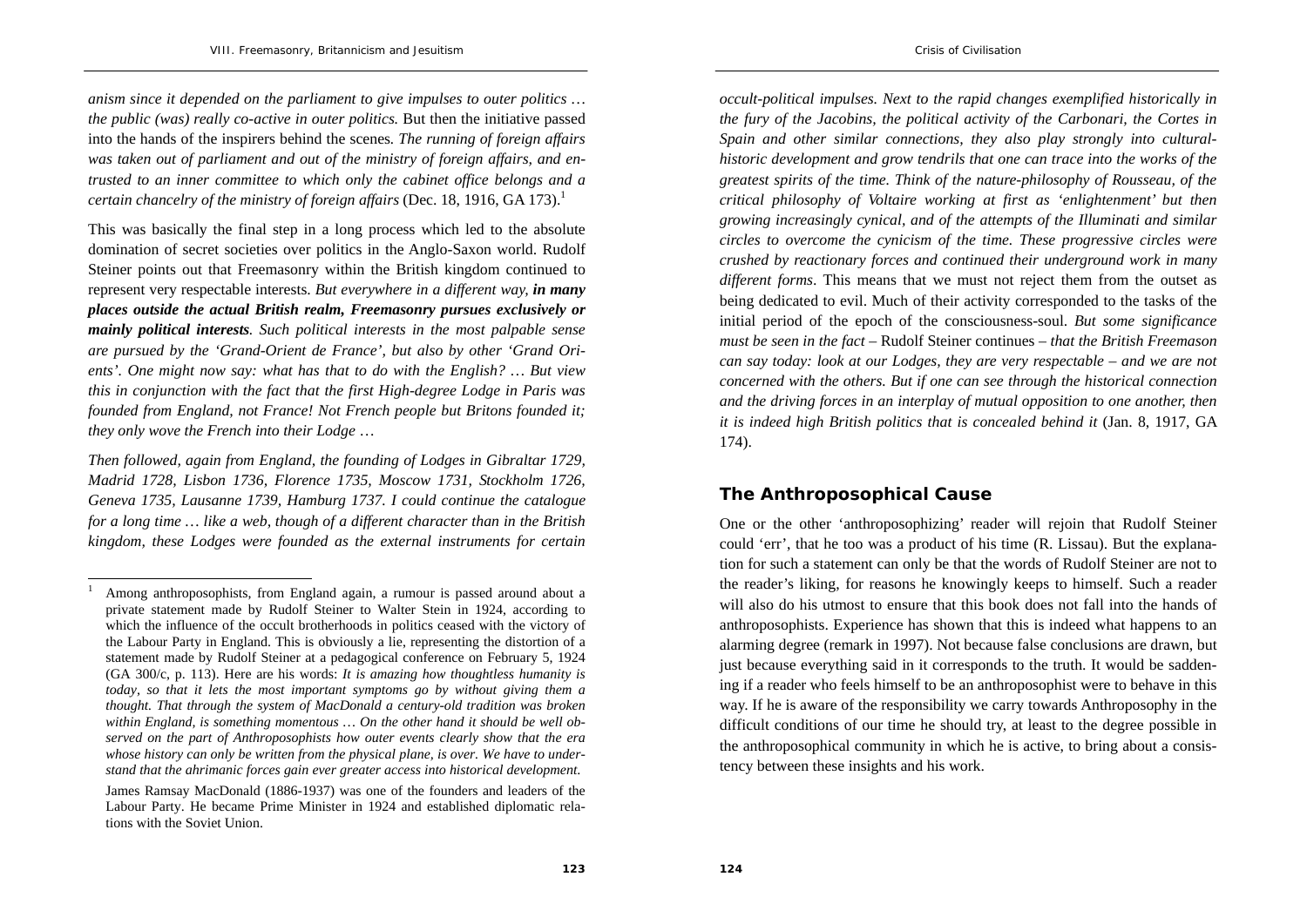*anism since it depended on the parliament to give impulses to outer politics … the public (was) really co-active in outer politics.* But then the initiative passed into the hands of the inspirers behind the scenes*. The running of foreign affairs was taken out of parliament and out of the ministry of foreign affairs, and entrusted to an inner committee to which only the cabinet office belongs and a certain chancelry of the ministry of foreign affairs (Dec. 18, 1916, GA 173).*<sup>1</sup>

This was basically the final step in a long process which led to the absolute domination of secret societies over politics in the Anglo-Saxon world. Rudolf Steiner points out that Freemasonry within the British kingdom continued to represent very respectable interests. *But everywhere in a different way, in many places outside the actual British realm, Freemasonry pursues exclusively or mainly political interests. Such political interests in the most palpable sense are pursued by the 'Grand-Orient de France', but also by other 'Grand Orients'. One might now say: what has that to do with the English? … But view this in conjunction with the fact that the first High-degree Lodge in Paris was founded from England, not France! Not French people but Britons founded it; they only wove the French into their Lodge* …

*Then followed, again from England, the founding of Lodges in Gibraltar 1729, Madrid 1728, Lisbon 1736, Florence 1735, Moscow 1731, Stockholm 1726, Geneva 1735, Lausanne 1739, Hamburg 1737. I could continue the catalogue for a long time … like a web, though of a different character than in the British kingdom, these Lodges were founded as the external instruments for certain*  *occult-political impulses. Next to the rapid changes exemplified historically in the fury of the Jacobins, the political activity of the Carbonari, the Cortes in Spain and other similar connections, they also play strongly into culturalhistoric development and grow tendrils that one can trace into the works of the greatest spirits of the time. Think of the nature-philosophy of Rousseau, of the critical philosophy of Voltaire working at first as 'enlightenment' but then growing increasingly cynical, and of the attempts of the Illuminati and similar circles to overcome the cynicism of the time. These progressive circles were crushed by reactionary forces and continued their underground work in many different forms*. This means that we must not reject them from the outset as being dedicated to evil. Much of their activity corresponded to the tasks of the initial period of the epoch of the consciousness-soul. *But some significance must be seen in the fact* – Rudolf Steiner continues – *that the British Freemason can say today: look at our Lodges, they are very respectable – and we are not concerned with the others. But if one can see through the historical connection and the driving forces in an interplay of mutual opposition to one another, then it is indeed high British politics that is concealed behind it (Jan. 8, 1917, GA* 174).

## **The Anthroposophical Cause**

One or the other 'anthroposophizing' reader will rejoin that Rudolf Steiner could 'err', that he too was a product of his time (R. Lissau). But the explanation for such a statement can only be that the words of Rudolf Steiner are not to the reader's liking, for reasons he knowingly keeps to himself. Such a reader will also do his utmost to ensure that this book does not fall into the hands of anthroposophists. Experience has shown that this is indeed what happens to an alarming degree (remark in 1997). Not because false conclusions are drawn, but just because everything said in it corresponds to the truth. It would be saddening if a reader who feels himself to be an anthroposophist were to behave in this way. If he is aware of the responsibility we carry towards Anthroposophy in the difficult conditions of our time he should try, at least to the degree possible in the anthroposophical community in which he is active, to bring about a consistency between these insights and his work.

<sup>1</sup> Among anthroposophists, from England again, a rumour is passed around about a private statement made by Rudolf Steiner to Walter Stein in 1924, according to which the influence of the occult brotherhoods in politics ceased with the victory of the Labour Party in England. This is obviously a lie, representing the distortion of a statement made by Rudolf Steiner at a pedagogical conference on February 5, 1924 (GA 300/c, p. 113). Here are his words: *It is amazing how thoughtless humanity is today, so that it lets the most important symptoms go by without giving them a thought. That through the system of MacDonald a century-old tradition was broken within England, is something momentous … On the other hand it should be well observed on the part of Anthroposophists how outer events clearly show that the era whose history can only be written from the physical plane, is over. We have to understand that the ahrimanic forces gain ever greater access into historical development*.

James Ramsay MacDonald (1886-1937) was one of the founders and leaders of the Labour Party. He became Prime Minister in 1924 and established diplomatic relations with the Soviet Union.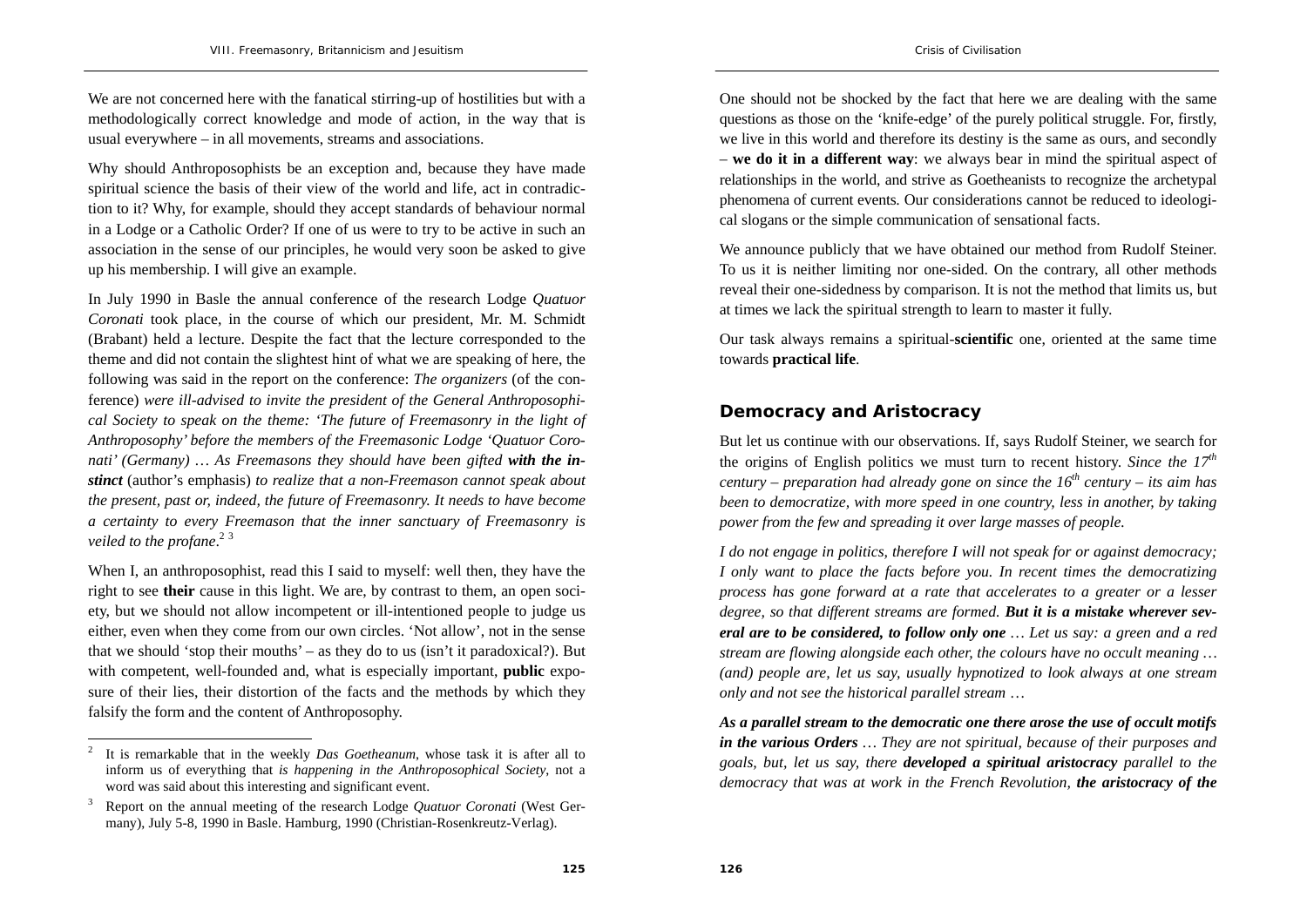We are not concerned here with the fanatical stirring-up of hostilities but with a methodologically correct knowledge and mode of action, in the way that is usual everywhere – in all movements, streams and associations.

Why should Anthroposophists be an exception and, because they have made spiritual science the basis of their view of the world and life, act in contradiction to it? Why, for example, should they accept standards of behaviour normal in a Lodge or a Catholic Order? If one of us were to try to be active in such an association in the sense of our principles, he would very soon be asked to give up his membership. I will give an example.

In July 1990 in Basle the annual conference of the research Lodge *Quatuor Coronati* took place, in the course of which our president, Mr. M. Schmidt (Brabant) held a lecture. Despite the fact that the lecture corresponded to the theme and did not contain the slightest hint of what we are speaking of here, the following was said in the report on the conference: *The organizers* (of the conference) *were ill-advised to invite the president of the General Anthroposophical Society to speak on the theme: 'The future of Freemasonry in the light of Anthroposophy' before the members of the Freemasonic Lodge 'Quatuor Coro*nati' (Germany) ... As Freemasons they should have been gifted with the in*stinct* (author's emphasis) *to realize that a non-Freemason cannot speak about the present, past or, indeed, the future of Freemasonry. It needs to have become a certainty to every Freemason that the inner sanctuary of Freemasonry is veiled to the profane.*<sup>2</sup><sup>3</sup>

When I, an anthroposophist, read this I said to myself: well then, they have the right to see **their** cause in this light. We are, by contrast to them, an open society, but we should not allow incompetent or ill-intentioned people to judge us either, even when they come from our own circles. 'Not allow', not in the sense that we should 'stop their mouths' – as they do to us (isn't it paradoxical?). But with competent, well-founded and, what is especially important, **public** exposure of their lies, their distortion of the facts and the methods by which they falsify the form and the content of Anthroposophy.

One should not be shocked by the fact that here we are dealing with the same questions as those on the 'knife-edge' of the purely political struggle. For, firstly, we live in this world and therefore its destiny is the same as ours, and secondly – **we do it in a different way**: we always bear in mind the spiritual aspect of relationships in the world, and strive as Goetheanists to recognize the archetypal phenomena of current events. Our considerations cannot be reduced to ideological slogans or the simple communication of sensational facts.

We announce publicly that we have obtained our method from Rudolf Steiner. To us it is neither limiting nor one-sided. On the contrary, all other methods reveal their one-sidedness by comparison. It is not the method that limits us, but at times we lack the spiritual strength to learn to master it fully.

Our task always remains a spiritual-**scientific** one, oriented at the same time towards **practical life**.

### **Democracy and Aristocracy**

But let us continue with our observations. If, says Rudolf Steiner, we search for the origins of English politics we must turn to recent history. *Since the*  $17<sup>th</sup>$ *century – preparation had already gone on since the 16th century – its aim has been to democratize, with more speed in one country, less in another, by taking power from the few and spreading it over large masses of people.* 

*I do not engage in politics, therefore I will not speak for or against democracy; I only want to place the facts before you. In recent times the democratizing process has gone forward at a rate that accelerates to a greater or a lesser degree, so that different streams are formed. But it is a mistake wherever several are to be considered, to follow only one … Let us say: a green and a red stream are flowing alongside each other, the colours have no occult meaning … (and) people are, let us say, usually hypnotized to look always at one stream only and not see the historical parallel stream* …

*As a parallel stream to the democratic one there arose the use of occult motifs in the various Orders … They are not spiritual, because of their purposes and goals, but, let us say, there developed a spiritual aristocracy parallel to the democracy that was at work in the French Revolution, the aristocracy of the* 

<sup>2</sup> It is remarkable that in the weekly *Das Goetheanum*, whose task it is after all to inform us of everything that *is happening in the Anthroposophical Society*, not a word was said about this interesting and significant event.

<sup>3</sup> Report on the annual meeting of the research Lodge *Quatuor Coronati* (West Germany), July 5-8, 1990 in Basle. Hamburg, 1990 (Christian-Rosenkreutz-Verlag).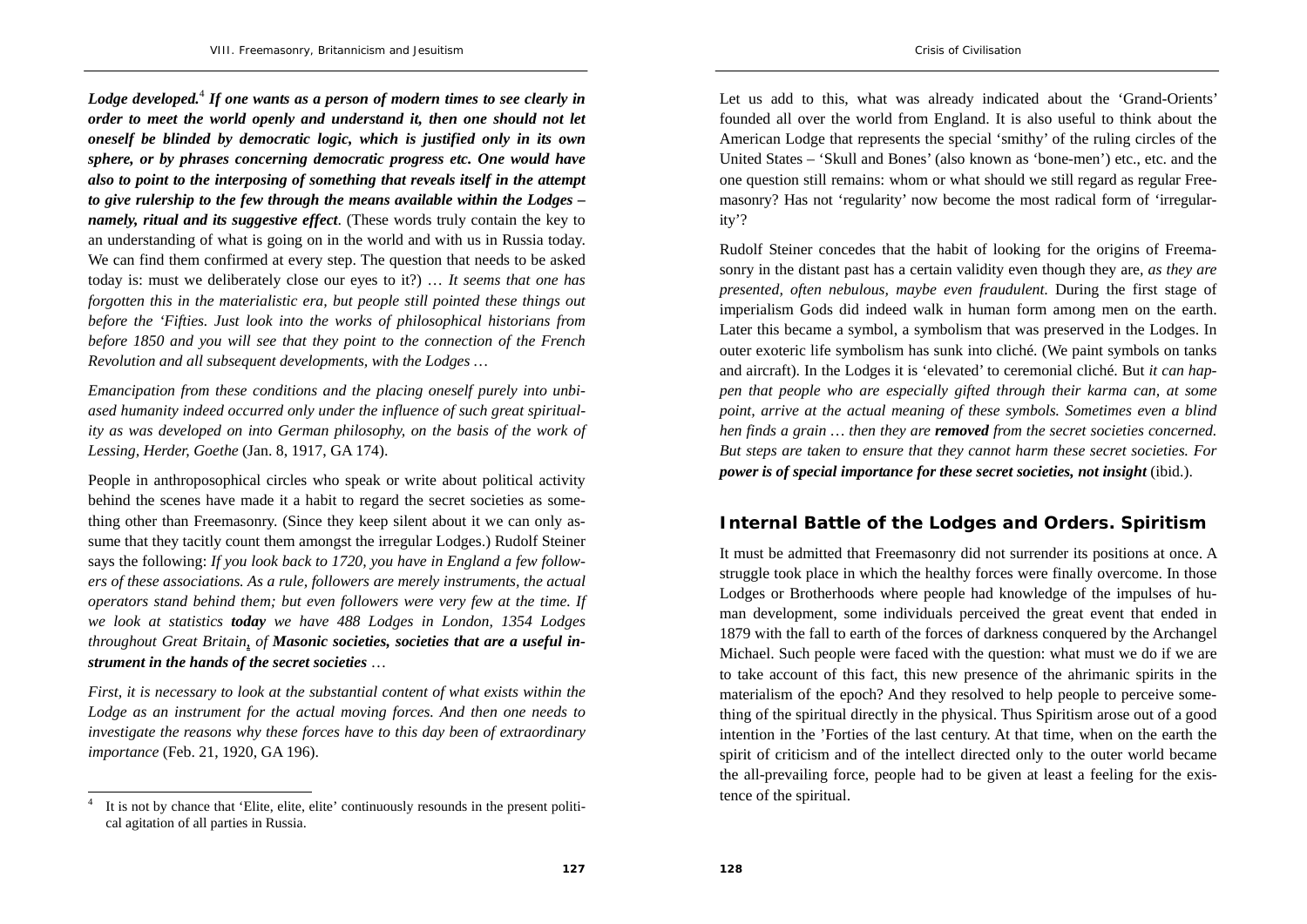*Lodge developed.*<sup>4</sup> *If one wants as a person of modern times to see clearly in order to meet the world openly and understand it, then one should not let oneself be blinded by democratic logic, which is justified only in its own sphere, or by phrases concerning democratic progress etc. One would have also to point to the interposing of something that reveals itself in the attempt to give rulership to the few through the means available within the Lodges – namely, ritual and its suggestive effect*. (These words truly contain the key to an understanding of what is going on in the world and with us in Russia today. We can find them confirmed at every step. The question that needs to be asked today is: must we deliberately close our eyes to it?) … *It seems that one has forgotten this in the materialistic era, but people still pointed these things out before the 'Fifties. Just look into the works of philosophical historians from before 1850 and you will see that they point to the connection of the French Revolution and all subsequent developments, with the Lodges …* 

*Emancipation from these conditions and the placing oneself purely into unbiased humanity indeed occurred only under the influence of such great spirituality as was developed on into German philosophy, on the basis of the work of Lessing, Herder, Goethe* (Jan. 8, 1917, GA 174).

People in anthroposophical circles who speak or write about political activity behind the scenes have made it a habit to regard the secret societies as something other than Freemasonry. (Since they keep silent about it we can only assume that they tacitly count them amongst the irregular Lodges.) Rudolf Steiner says the following: *If you look back to 1720, you have in England a few followers of these associations. As a rule, followers are merely instruments, the actual operators stand behind them; but even followers were very few at the time. If we look at statistics today we have 488 Lodges in London, 1354 Lodges throughout Great Britain, of Masonic societies, societies that are a useful instrument in the hands of the secret societies* …

*First, it is necessary to look at the substantial content of what exists within the*  Lodge as an instrument for the actual moving forces. And then one needs to *investigate the reasons why these forces have to this day been of extraordinary importance* (Feb. 21, 1920, GA 196).

Let us add to this, what was already indicated about the 'Grand-Orients' founded all over the world from England. It is also useful to think about the American Lodge that represents the special 'smithy' of the ruling circles of the United States – 'Skull and Bones' (also known as 'bone-men') etc., etc. and the one question still remains: whom or what should we still regard as regular Freemasonry? Has not 'regularity' now become the most radical form of 'irregularity'?

Rudolf Steiner concedes that the habit of looking for the origins of Freemasonry in the distant past has a certain validity even though they are*, as they are presented, often nebulous, maybe even fraudulent*. During the first stage of imperialism Gods did indeed walk in human form among men on the earth. Later this became a symbol, a symbolism that was preserved in the Lodges. In outer exoteric life symbolism has sunk into cliché. (We paint symbols on tanks and aircraft). In the Lodges it is 'elevated' to ceremonial cliché. But *it can happen that people who are especially gifted through their karma can, at some point, arrive at the actual meaning of these symbols. Sometimes even a blind hen finds a grain … then they are removed from the secret societies concerned. But steps are taken to ensure that they cannot harm these secret societies. For power is of special importance for these secret societies, not insight* (ibid.).

#### **Internal Battle of the Lodges and Orders. Spiritism**

It must be admitted that Freemasonry did not surrender its positions at once. A struggle took place in which the healthy forces were finally overcome. In those Lodges or Brotherhoods where people had knowledge of the impulses of human development, some individuals perceived the great event that ended in 1879 with the fall to earth of the forces of darkness conquered by the Archangel Michael. Such people were faced with the question: what must we do if we are to take account of this fact, this new presence of the ahrimanic spirits in the materialism of the epoch? And they resolved to help people to perceive something of the spiritual directly in the physical. Thus Spiritism arose out of a good intention in the 'Forties of the last century. At that time, when on the earth the spirit of criticism and of the intellect directed only to the outer world became the all-prevailing force, people had to be given at least a feeling for the existence of the spiritual.

It is not by chance that 'Elite, elite, elite' continuously resounds in the present political agitation of all parties in Russia.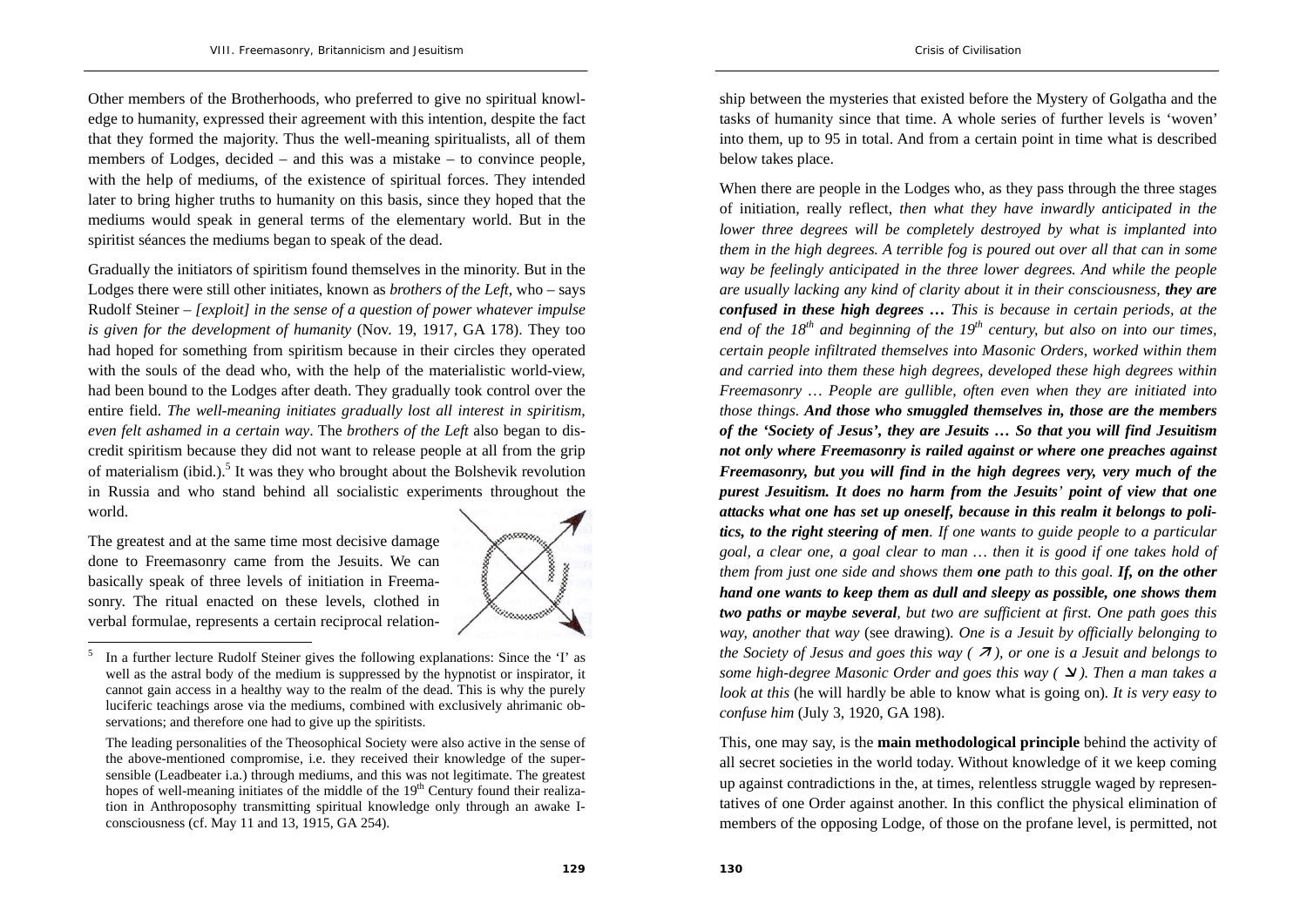Other members of the Brotherhoods, who preferred to give no spiritual knowledge to humanity, expressed their agreement with this intention, despite the fact that they formed the majority. Thus the well-meaning spiritualists, all of them members of Lodges, decided – and this was a mistake – to convince people, with the help of mediums, of the existence of spiritual forces. They intended later to bring higher truths to humanity on this basis, since they hoped that the mediums would speak in general terms of the elementary world. But in the spiritist séances the mediums began to speak of the dead.

Gradually the initiators of spiritism found themselves in the minority. But in the Lodges there were still other initiates, known as *brothers of the Left*, who – says Rudolf Steiner – *[exploit] in the sense of a question of power whatever impulse is given for the development of humanity* (Nov. 19, 1917, GA 178). They too had hoped for something from spiritism because in their circles they operated with the souls of the dead who, with the help of the materialistic world-view, had been bound to the Lodges after death. They gradually took control over the entire field. *The well-meaning initiates gradually lost all interest in spiritism, even felt ashamed in a certain way*. The *brothers of the Left* also began to discredit spiritism because they did not want to release people at all from the grip of materialism (ibid.).<sup>5</sup> It was they who brought about the Bolshevik revolution in Russia and who stand behind all socialistic experiments throughout the world.

The greatest and at the same time most decisive damage done to Freemasonry came from the Jesuits. We can basically speak of three levels of initiation in Freemasonry. The ritual enacted on these levels, clothed in verbal formulae, represents a certain reciprocal relation-



<sup>5</sup> In a further lecture Rudolf Steiner gives the following explanations: Since the 'I' as well as the astral body of the medium is suppressed by the hypnotist or inspirator, it cannot gain access in a healthy way to the realm of the dead. This is why the purely luciferic teachings arose via the mediums, combined with exclusively ahrimanic observations; and therefore one had to give up the spiritists.

ship between the mysteries that existed before the Mystery of Golgatha and the tasks of humanity since that time. A whole series of further levels is 'woven' into them, up to 95 in total. And from a certain point in time what is described below takes place.

When there are people in the Lodges who, as they pass through the three stages of initiation, really reflect, *then what they have inwardly anticipated in the lower three degrees will be completely destroyed by what is implanted into them in the high degrees. A terrible fog is poured out over all that can in some way be feelingly anticipated in the three lower degrees. And while the people are usually lacking any kind of clarity about it in their consciousness, they are confused in these high degrees … This is because in certain periods, at the*  end of the  $18^{th}$  and beginning of the  $19^{th}$  century, but also on into our times, *certain people infiltrated themselves into Masonic Orders, worked within them and carried into them these high degrees, developed these high degrees within Freemasonry … People are gullible, often even when they are initiated into those things. And those who smuggled themselves in, those are the members of the 'Society of Jesus', they are Jesuits … So that you will find Jesuitism not only where Freemasonry is railed against or where one preaches against Freemasonry, but you will find in the high degrees very, very much of the purest Jesuitism. It does no harm from the Jesuits' point of view that one attacks what one has set up oneself, because in this realm it belongs to politics, to the right steering of men. If one wants to guide people to a particular goal, a clear one, a goal clear to man … then it is good if one takes hold of them from just one side and shows them one path to this goal. If, on the other hand one wants to keep them as dull and sleepy as possible, one shows them two paths or maybe several, but two are sufficient at first. One path goes this way, another that way* (see drawing)*. One is a Jesuit by officially belonging to the Society of Jesus and goes this way (* $\overline{A}$ *), or one is a Jesuit and belongs to some high-degree Masonic Order and goes this way*  $(\Delta)$ *. Then a man takes a look at this* (he will hardly be able to know what is going on)*. It is very easy to confuse him* (July 3, 1920, GA 198).

This, one may say, is the **main methodological principle** behind the activity of all secret societies in the world today. Without knowledge of it we keep coming up against contradictions in the, at times, relentless struggle waged by representatives of one Order against another. In this conflict the physical elimination of members of the opposing Lodge, of those on the profane level, is permitted, not

The leading personalities of the Theosophical Society were also active in the sense of the above-mentioned compromise, i.e. they received their knowledge of the supersensible (Leadbeater i.a.) through mediums, and this was not legitimate. The greatest hopes of well-meaning initiates of the middle of the  $19<sup>th</sup>$  Century found their realization in Anthroposophy transmitting spiritual knowledge only through an awake Iconsciousness (cf. May 11 and 13, 1915, GA 254).